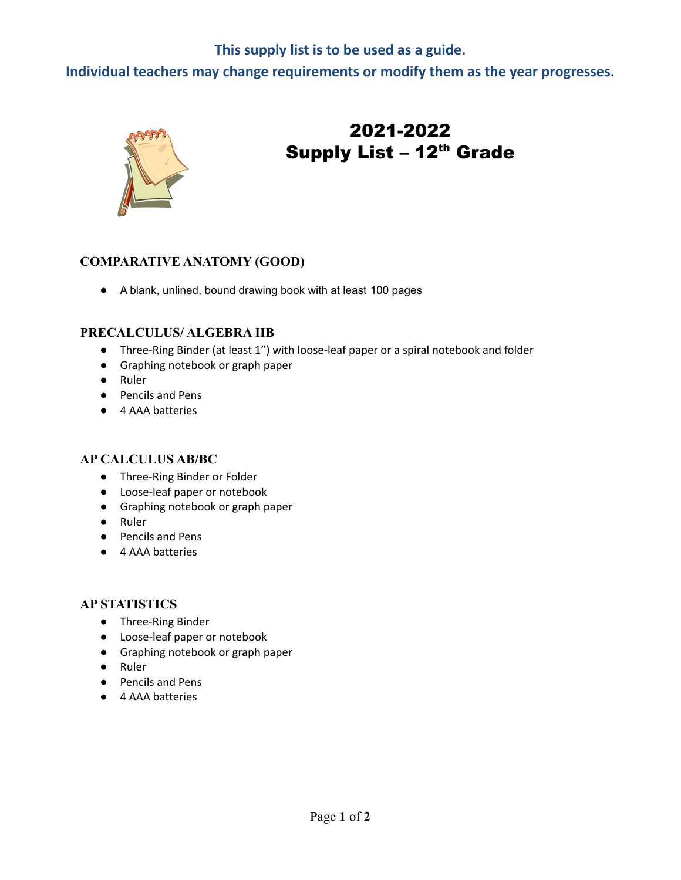### **This supply list is to be used as a guide.**

**Individual teachers may change requirements or modify them as the year progresses.**



# 2021-2022 Supply List – 12<sup>th</sup> Grade

#### **COMPARATIVE ANATOMY (GOOD)**

● A blank, unlined, bound drawing book with at least 100 pages

#### **PRECALCULUS/ ALGEBRA IIB**

- Three-Ring Binder (at least 1") with loose-leaf paper or a spiral notebook and folder
- Graphing notebook or graph paper
- Ruler
- Pencils and Pens
- 4 AAA batteries

#### **AP CALCULUS AB/BC**

- Three-Ring Binder or Folder
- Loose-leaf paper or notebook
- Graphing notebook or graph paper
- Ruler
- Pencils and Pens
- 4 AAA batteries

#### **AP STATISTICS**

- Three-Ring Binder
- Loose-leaf paper or notebook
- Graphing notebook or graph paper
- Ruler
- Pencils and Pens
- 4 AAA batteries